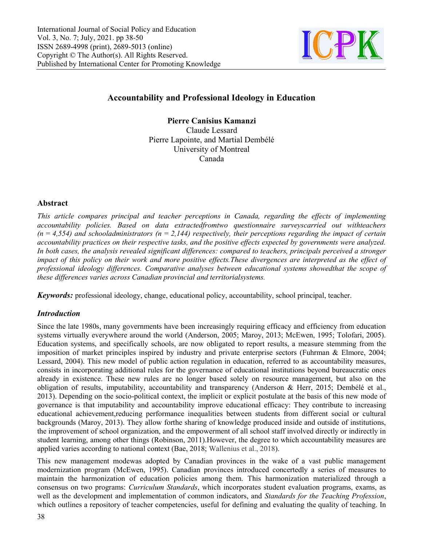

# Accountability and Professional Ideology in Education

Pierre Lapointe, and Martial Dembélé Pierre Canisius Kamanzi Claude Lessard University of Montreal Canada

### Abstract

This article compares principal and teacher perceptions in Canada, regarding the effects of implementing accountability policies. Based on data extractedfromtwo questionnaire surveyscarried out withteachers accountability policies. Based on data extractedfromtwo questionnaire surveyscarried out withteachers<br>(n = 4,554) and schooladministrators (n = 2,144) respectively, their perceptions regarding the impact of certain accountability practices on their respective tasks, and the positive effects expected by governments were analyzed. In both cases, the analysis revealed significant differences: compared to teachers, principals perceived a stronger<br>impact of this policy on their work and more positive effects.These divergences are interpreted as the eff impact of this policy on their work and more positive effects. These divergences are interpreted as the effect of professional ideology differences. Comparative analyses between educational systems showedthat the scope<br>these differences varies across Canadian provincial and territorialsystems. these differences varies across Canadian provincial and territorialsystems.

Keywords: professional ideology, change, educational policy, accountability, school principal, teacher.

## Introduction

*Keywords:* professional ideology, change, educational policy, accountability, school principal, teacher.<br>*Introduction*<br>Since the late 1980s, many governments have been increasingly requiring efficacy and efficiency from systems virtually everywhere around the world (Anderson, 2005; Maroy, 2013; McEwen, 1995; Tolofari, 2005). systems virtually everywhere around the world (Anderson, 2005; Maroy, 2013; McEwen, 1995; Tolofari, 2005).<br>Education systems, and specifically schools, are now obligated to report results, a measure stemming from the imposition of market principles inspired by industry and private enterprise sectors (Fuhrman & Elmore, 2004; Lessard, 2004). This new model of public action regulation in education, referred to as accountability measures, consists in incorporating additional rules for the governance of educational institutions beyond bureaucratic ones already in existence. These new rules are no longer based solely on resource management, but also on the obligation of results, imputability, accountability and transparency (Anderson & Herr, 2015; Dembélé et al., 2013). Depending on the socio-political context, the implicit or explicit postulate at the basis of this new mode of 2013). Depending on the socio-political context, the implicit or explicit postulate at the basis of this new mode of governance is that imputability and accountability improve educational efficacy: They contribute to incre educational achievement,reducing performance inequalities between students from different social or cultural backgrounds (Maroy, 2013). They allow forthe sharing of knowledge produced inside and outside of institutions, the improvement of school organization, and the empowerment of all school staff involved directly or indirectly in student learning, among other things (Robinson, 2011).However, the degree to which accountability measures are applied varies according to national context (Bae, 2018; Wallenius et al., 2018). of market principles inspired by industry and private enterprise sectors (Fuhrman & Elmore, 2004; 04). This new model of public action regulation in education, referred to as accountability measures, incorporating addition educational achievement,reducing performance inequalities between students from different social or cultural backgrounds (Maroy, 2013). They allow forthe sharing of knowledge produced inside and outside of institutions, th ernments have been increasingly requiring efficacy and efficie<br>round the world (Anderson, 2005; Maroy, 2013; McEwen, 19<br>cally schools, are now obligated to report results, a measure<br>is inspired by industry and private ente

This new management modewas adopted by Canadian provinces in the wake of a vast public management modernization program (McEwen, 1995). Canadian provinces introduced concertedly a series of measures to maintain the harmonization of education policies among them. This harmonization materialized through a consensus on two programs: *Curriculum Standards*, which incorporates student evaluation programs, exams, as well as the development and implementation of common indicators, and Standards for the Teaching Profession, which outlines a repository of teacher competencies, useful for defining and evaluating the quality of teaching. In This new management modewas adopted by Canadian provinces in the wake of a vast public management modernization program (McEwen, 1995). Canadian provinces introduced concertedly a series of measures to maintain the harmoni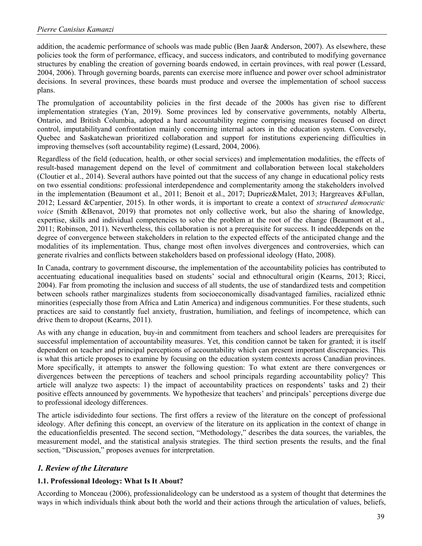addition, the academic performance of schools was made public (Ben Jaar& Anderson, 2007). As elsewhere, these policies took the form of performance, efficacy, and success indicators, and contributed to modifying governance structures by enabling the creation of governing boards endowed, in certain provinces, with real power (Lessard, 2004, 2006). Through governing boards, parents can exercise more influence and power over school administrator decisions. In several provinces, these boards must produce and oversee the implementation of school success plans.

The promulgation of accountability policies in the first decade of the 2000s has given rise to different implementation strategies (Yan, 2019). Some provinces led by conservative governments, notably Alberta, Ontario, and British Columbia, adopted a hard accountability regime comprising measures focused on direct control, imputabilityand confrontation mainly concerning internal actors in the education system. Conversely, Quebec and Saskatchewan prioritized collaboration and support for institutions experiencing difficulties in improving themselves (soft accountability regime) (Lessard, 2004, 2006).

Regardless of the field (education, health, or other social services) and implementation modalities, the effects of result-based management depend on the level of commitment and collaboration between local stakeholders (Cloutier et al., 2014). Several authors have pointed out that the success of any change in educational policy rests on two essential conditions: professional interdependence and complementarity among the stakeholders involved in the implementation (Beaumont et al., 2011; Benoit et al., 2017; Dupriez&Malet, 2013; Hargreaves &Fullan, 2012; Lessard &Carpentier, 2015). In other words, it is important to create a context of structured democratic voice (Smith &Benavot, 2019) that promotes not only collective work, but also the sharing of knowledge, expertise, skills and individual competencies to solve the problem at the root of the change (Beaumont et al., 2011; Robinson, 2011). Nevertheless, this collaboration is not a prerequisite for success. It indeeddepends on the degree of convergence between stakeholders in relation to the expected effects of the anticipated change and the modalities of its implementation. Thus, change most often involves divergences and controversies, which can generate rivalries and conflicts between stakeholders based on professional ideology (Hato, 2008).

In Canada, contrary to government discourse, the implementation of the accountability policies has contributed to accentuating educational inequalities based on students' social and ethnocultural origin (Kearns, 2013; Ricci, 2004). Far from promoting the inclusion and success of all students, the use of standardized tests and competition between schools rather marginalizes students from socioeconomically disadvantaged families, racialized ethnic minorities (especially those from Africa and Latin America) and indigenous communities. For these students, such practices are said to constantly fuel anxiety, frustration, humiliation, and feelings of incompetence, which can drive them to dropout (Kearns, 2011).

As with any change in education, buy-in and commitment from teachers and school leaders are prerequisites for successful implementation of accountability measures. Yet, this condition cannot be taken for granted; it is itself dependent on teacher and principal perceptions of accountability which can present important discrepancies. This is what this article proposes to examine by focusing on the education system contexts across Canadian provinces. More specifically, it attempts to answer the following question: To what extent are there convergences or divergences between the perceptions of teachers and school principals regarding accountability policy? This article will analyze two aspects: 1) the impact of accountability practices on respondents' tasks and 2) their positive effects announced by governments. We hypothesize that teachers' and principals' perceptions diverge due to professional ideology differences.

The article isdividedinto four sections. The first offers a review of the literature on the concept of professional ideology. After defining this concept, an overview of the literature on its application in the context of change in the educationfieldis presented. The second section, "Methodology," describes the data sources, the variables, the measurement model, and the statistical analysis strategies. The third section presents the results, and the final section, "Discussion," proposes avenues for interpretation.

## 1. Review of the Literature

## 1.1. Professional Ideology: What Is It About?

According to Monceau (2006), professionalideology can be understood as a system of thought that determines the ways in which individuals think about both the world and their actions through the articulation of values, beliefs,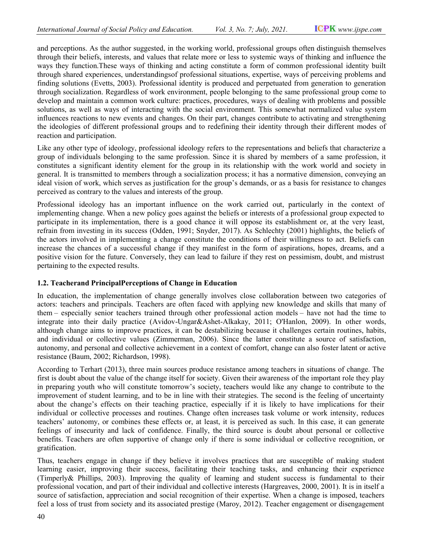and perceptions. As the author suggested, in the working world, professional groups often distinguish themselves through their beliefs, interests, and values that relate more or less to systemic ways of thinking and influence the ways they function.These ways of thinking and acting constitute a form of common professional identity built through shared experiences, understandings of professional situations, expertise, ways of perceiving problems and finding solutions (Evetts, 2003). Professional identity is produced and perpetuated from generation to generation finding solutions (Evetts, 2003). Professional identity is produced and perpetuated from generation to generation<br>through socialization. Regardless of work environment, people belonging to the same professional group come develop and maintain a common work culture: practices, procedures, ways of dealing with problems and possible solutions, as well as ways of interacting with the social environment. This somewhat normalized value system influences reactions to new events and changes. On their part, changes contribute to activating and strengthening the ideologies of different professional groups and to redefining their identity through their different modes of reaction and participation. erceptions. As the author suggested, in the working world, professional groups often distinguish themselves<br>the their beliefs, interests, and values that relate more or less to systemic ways of thinking and influence the<br>t Internal of Secial Policy and Education. This 2, No. 7. Adj. 2021. USPEN unresigne can<br>not A the surface angular state and the working sourcide purchase and the surface and the surface and the surface and the surface and of professional situations, expertise, ways of perceiving problems and<br>al identity is produced and perpetuated from generation to generation<br>nvironment, people belonging to the same professional group come to<br>tre: practice

Like any other type of ideology, professional ideology refers to the representations and beliefs that characterize a group of individuals belonging to the same profession. Since it is shared by members of a same profession, it constitutes a significant identity element for the group in its relationship with the work world and society in general. It is transmitted to members through a socialization process; it has a normative dimension, conveying an ideal vision of work, which serves as justification for the group's demands, or as a basis for resistance to changes perceived as contrary to the values and interests of the group. develop and maintain a common work culture: practices, procedures, ways of dealing with problems and possible<br>solutions, as well as ways of interacting with the social environment. This somewhat normalized value system<br>inf

Professional ideology has an important influence on the work carried out, particularly in the context of implementing change. When a new policy goes against the beliefs or interests of a professional group expected to participate in its implementation, there is a good chance it will oppose its establishment or, at the very least, Professional ideology has an important influence on the work carried out, particularly in the context of implementing change. When a new policy goes against the beliefs or interests of a professional group expected to part the actors involved in implementing a change constitute the conditions of their willingness to act. Beliefs can the actors involved in implementing a change constitute the conditions of their willingness to act. Beliefs can<br>increase the chances of a successful change if they manifest in the form of aspirations, hopes, dreams, and a positive vision for the future. Conversely, they can lead to failure if they rest on pessimism, doubt, and mistrust pertaining to the expected results. the group's demands, or as a basis for resistance to changes<br>group.<br>on the work carried out, particularly in the context of<br>st the beliefs or interests of a professional group expected to<br>annee it will oppose its establish

### 1.2. Teacherand PrincipalPerceptions of Change in Education

In education, the implementation of change generally involves close collaboration between two categories of actors: teachers and principals. Teachers are often faced with applying new knowledge and skills that many of them – especially senior teachers trained through other professional action models – have not had the time to integrate into their daily practice (Avidov-Ungar&Ashet-Alkakay, 2011; O'Hanlon, 2009). In other words, although change aims to improve practices, it can be destabilizing because it challenges certa because it challenges certa and individual or collective values (Zimmerman, 2006). Since the latter constitute a source of satisfaction, autonomy, and personal and collective achievement in a context of comfort, change can also foster latent or active resistance (Baum, 2002; Richardson, 1998). for the future. Conversely, they can lead to failure if they rest on pessimism, doubt, and mistrust<br>ne expected results.<br>**nd PrincipalPerceptions of Change in Education**<br>the implementation of change generally involves clos

According to Terhart (2013), three main sources produce resistance among teachers in situations of change. The first is doubt about the value of the change itself for society. Given their awareness of the important role they play in preparing youth who will constitute tomorrow's society, teachers would like any change to contribute to the improvement of student learning, and to be in line with their strategies. The second is the feeling of uncertainty about the change's effects on their teaching practice, especially if it is likely to have implications for their individual or collective processes and routines. Change often increases task volume or work intensity, reduces teachers' autonomy, or combines these effects or, at least, it is perceived as such. In this case, it can generate feelings of insecurity and lack of confidence. Finally, the third source is doubt about personal or collective feelings of insecurity and lack of confidence. Finally, the third source is doubt about personal or collective<br>benefits. Teachers are often supportive of change only if there is some individual or collective recognition, o gratification. and individual or collective values (Zimmerman, 2006). Since the latter constitute a source of satisfaction, autonomy, and personal and collective achievement in a context of comfort, change can also foster latent or activ fects or, at least, it is perceived as such. In this case, it can generate ence. Finally, the third source is doubt about personal or collective change only if there is some individual or collective recognition, or believe

Thus, teachers engage in change if they believe it involves practices that are susceptible of making student learning easier, improving their success, facilitating their teaching tasks, and enhancing their experience (Timperly& Phillips, 2003). Improving the quality of learning and student success is fundamental to their professional vocation, and part of their individual and collective interests (Hargreaves, 2000, 2001). It is in itself a professional vocation, and part of their individual and collective interests (Hargreaves, 2000, 2001). It is in itself a<br>source of satisfaction, appreciation and social recognition of their expertise. When a change is impo feel a loss of trust from society and its associated prestige (Maroy, 2012). Teacher engagement or disengagement change if they believe it involves practices that are susceptible of making student<br>g their success, facilitating their teaching tasks, and enhancing their experience<br>b). Improving the quality of learning and student succe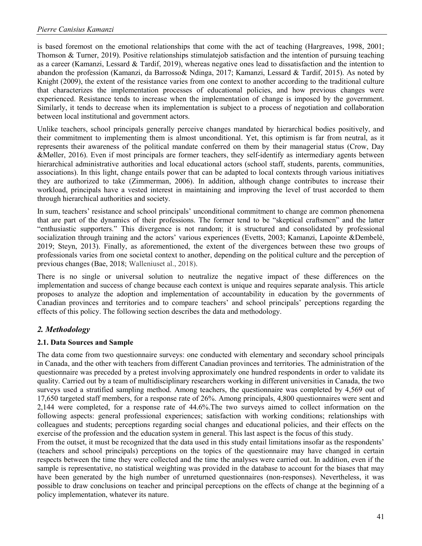is based foremost on the emotional relationships that come with the act of teaching (Hargreaves, 1998, 2001; Thomson & Turner, 2019). Positive relationships stimulatejob satisfaction and the intention of pursuing teaching as a career (Kamanzi, Lessard & Tardif, 2019), whereas negative ones lead to dissatisfaction and the intention to abandon the profession (Kamanzi, da Barrosso& Ndinga, 2017; Kamanzi, Lessard & Tardif, 2015). As noted by Knight (2009), the extent of the resistance varies from one context to another according to the traditional culture that characterizes the implementation processes of educational policies, and how previous changes were experienced. Resistance tends to increase when the implementation of change is imposed by the government. Similarly, it tends to decrease when its implementation is subject to a process of negotiation and collaboration between local institutional and government actors.

Unlike teachers, school principals generally perceive changes mandated by hierarchical bodies positively, and their commitment to implementing them is almost unconditional. Yet, this optimism is far from neutral, as it represents their awareness of the political mandate conferred on them by their managerial status (Crow, Day &Møller, 2016). Even if most principals are former teachers, they self-identify as intermediary agents between hierarchical administrative authorities and local educational actors (school staff, students, parents, communities, associations). In this light, change entails power that can be adapted to local contexts through various initiatives they are authorized to take (Zimmerman, 2006). In addition, although change contributes to increase their workload, principals have a vested interest in maintaining and improving the level of trust accorded to them through hierarchical authorities and society.

In sum, teachers' resistance and school principals' unconditional commitment to change are common phenomena that are part of the dynamics of their professions. The former tend to be "skeptical craftsmen" and the latter "enthusiastic supporters." This divergence is not random; it is structured and consolidated by professional socialization through training and the actors' various experiences (Evetts, 2003; Kamanzi, Lapointe &Dembelé, 2019; Steyn, 2013). Finally, as aforementioned, the extent of the divergences between these two groups of professionals varies from one societal context to another, depending on the political culture and the perception of previous changes (Bae, 2018; Walleniuset al., 2018).

There is no single or universal solution to neutralize the negative impact of these differences on the implementation and success of change because each context is unique and requires separate analysis. This article proposes to analyze the adoption and implementation of accountability in education by the governments of Canadian provinces and territories and to compare teachers' and school principals' perceptions regarding the effects of this policy. The following section describes the data and methodology.

## 2. Methodology

### 2.1. Data Sources and Sample

The data come from two questionnaire surveys: one conducted with elementary and secondary school principals in Canada, and the other with teachers from different Canadian provinces and territories. The administration of the questionnaire was preceded by a pretest involving approximately one hundred respondents in order to validate its quality. Carried out by a team of multidisciplinary researchers working in different universities in Canada, the two surveys used a stratified sampling method. Among teachers, the questionnaire was completed by 4,569 out of 17,650 targeted staff members, for a response rate of 26%. Among principals, 4,800 questionnaires were sent and 2,144 were completed, for a response rate of 44.6%.The two surveys aimed to collect information on the following aspects: general professional experiences; satisfaction with working conditions; relationships with colleagues and students; perceptions regarding social changes and educational policies, and their effects on the exercise of the profession and the education system in general. This last aspect is the focus of this study.

From the outset, it must be recognized that the data used in this study entail limitations insofar as the respondents' (teachers and school principals) perceptions on the topics of the questionnaire may have changed in certain respects between the time they were collected and the time the analyses were carried out. In addition, even if the sample is representative, no statistical weighting was provided in the database to account for the biases that may have been generated by the high number of unreturned questionnaires (non-responses). Nevertheless, it was possible to draw conclusions on teacher and principal perceptions on the effects of change at the beginning of a policy implementation, whatever its nature.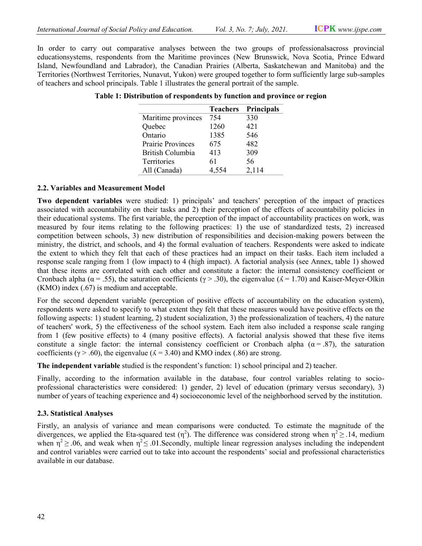In order to carry out comparative analyses between the two groups of professionalsacross provincial In order to carry out comparative analyses between the two groups of professionalsacross provincial<br>educationsystems, respondents from the Maritime provinces (New Brunswick, Nova Scotia, Prince Edward Island, Newfoundland and Labrador), the Canadian Prairies (Alberta, Saskatchewan and Manitoba) and the Island, Newfoundland and Labrador), the Canadian Prairies (Alberta, Saskatchewan and Manitoba) and the<br>Territories (Northwest Territories, Nunavut, Yukon) were grouped together to form sufficiently large sub-samples of teachers and school principals. Table 1 illustrates the general portrait of the sample.

|                          | <b>Teachers</b> | <b>Principals</b> |
|--------------------------|-----------------|-------------------|
| Maritime provinces       | 754             | 330               |
| Quebec                   | 1260            | 421               |
| Ontario                  | 1385            | 546               |
| <b>Prairie Provinces</b> | 675             | 482               |
| British Columbia         | 413             | 309               |
| Territories              | 61              | 56                |
| All (Canada)             | 4,554           | 2,114             |

Table 1: Distribution of respondents by function and province or region<br>
Teachers Principals

#### 2.2. Variables and Measurement Model

Two dependent variables were studied: 1) principals' and teachers' perception of the impact of practices associated with accountability on their tasks and 2) their perception of the effects of accountability policies in their educational systems. The first variable, the perception of the impact of accountability practices on work, was measured by four items relating to the following practices: 1) the use of standardized tests, 2) increased competition between schools, 3) new distribution of responsibilities and decision-making powers between the ministry, the district, and schools, and 4) the formal evaluation of teachers. Respondents were asked to indicate the extent to which they felt that each of these practices had an impact on their tasks. Each item included a response scale ranging from 1 (low impact) to 4 (high impact). A factorial analysis (see Annex, table 1) showed that these items are correlated with each other and constitute a factor: the internal consistency coefficient or Cronbach alpha ( $\alpha$  = .55), the saturation coefficients ( $\gamma$  > .30), the eigenvalue ( $\Lambda$  = 1.70) and Kaiser (KMO) index (.67) is medium and acceptable. studied: 1) principals' and teachers' perception of the impact of practices their tasks and 2) their perception of the effects of accountability policies in variable, the perception of the impact of accountability practice he extent to which they felt that each of these practices had an impact on their tasks. Each item included a esponse scale ranging from 1 (low impact) to 4 (high impact). A factorial analysis (see Annex, table 1) showed ha bilowing practices: 1) the use of standardized tests, 2) increased<br>ibution of responsibilities and decision-making powers between the<br>le formal evaluation of teachers. Respondents were asked to indicate<br>these practices ha

For the second dependent variable (perception of positive effects of accountability on the education system), respondents were asked to specify to what extent they felt that these measures would have positive effects on the following aspects: 1) student learning, 2) student socialization, 3) the professionalization of teachers, 4) the nature of teachers' work, 5) the effectiveness of the school system. Each item also included a response scale ranging from 1 (few positive effects) to 4 (many positive effects). A factorial analysis showed that these five items constitute a single factor: the internal consistency coefficient or Cronbach alpha  $(\alpha = .87)$ , the saturation coefficients ( $\gamma$  > .60), the eigenvalue ( $\Lambda$  = 3.40) and KMO index (.86) are strong. MO) index (.67) is medium and acceptable.<br>
The second dependent variable (perception of positive effects of accountability on the education system),<br>
pondents were asked to specify to what extent they felt that these measu

The independent variable studied is the respondent's function: 1) school principal and 2) teacher.

Finally, according to the information available in the database, four control variables relating to socioprofessional characteristics were considered: 1) gender, 2) level of education (primary versus secondary), 3) number of years of teaching experience and 4) socioeconomic level of the neighborhood served by the institution. principal and 2) teacher.<br>according to the information available in the database, four control variables relating to socio-<br>nal characteristics were considered: 1) gender, 2) level of education (primary versus secondary),

#### 2.3. Statistical Analyses

Firstly, an analysis of variance and mean comparisons were conducted. To estimate the magnitude of the Firstly, an analysis of variance and mean comparisons were conducted. To estimate the magnitude of the divergences, we applied the Eta-squared test  $(\eta^2)$ . The difference was considered strong when  $\eta^2 \ge 0.14$ , medium when  $\eta^2 \ge 0.06$ , and weak when  $\eta^2 \le 0.01$ . Secondly, multiple linear regression analyses including the independent when  $\eta^2 \ge 0.06$ , and weak when  $\eta^2 \le 0.01$ . Secondly, multiple linear regression analyses including the independent and control variables were carried out to take into account the respondents' social and professional available in our database.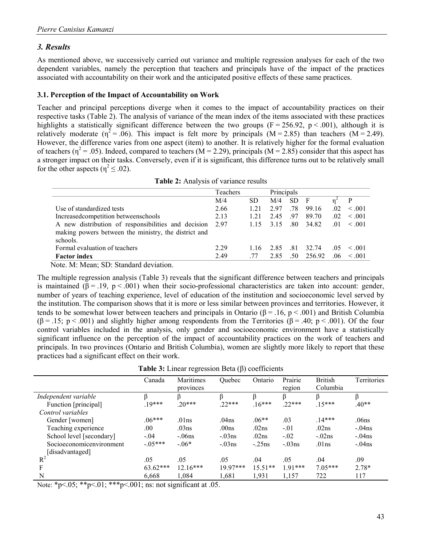### 3. Results

As mentioned above, we successively carried out variance and multiple regression analyses for each of the two dependent variables, namely the perception that teachers and principals have of the impact of the practices associated with accountability on their work and the anticipated positive effects of these same practices.

### 3.1. Perception of the Impact of Accountability on Work

Teacher and principal perceptions diverge when it comes to the impact of accountability practices on their respective tasks (Table 2). The analysis of variance of the mean index of the items associated with these practices highlights a statistically significant difference between the two groups ( $F = 256.92$ ,  $p < .001$ ), although it is relatively moderate ( $\eta^2 = .06$ ). This impact is felt more by principals (M = 2.85) than teachers (M = 2.49). However, the difference varies from one aspect (item) to another. It is relatively higher for the formal evaluation of teachers ( $\eta^2$  = .05). Indeed, compared to teachers (M = 2.29), principals (M = 2.85) consider that this aspect has a stronger impact on their tasks. Conversely, even if it is significant, this difference turns out to be relatively small for the other aspects ( $\eta^2 \leq .02$ ).

| Table 2: Analysis of variance results |  |
|---------------------------------------|--|
|---------------------------------------|--|

|                                                      | Teachers |      | Principals |     |                     |      |             |
|------------------------------------------------------|----------|------|------------|-----|---------------------|------|-------------|
|                                                      | M/4      | SD.  | M/4        | SD. | $\mathbf{F}$        |      |             |
| Use of standardized tests                            | 2.66     | 1.21 | 2.97       | .78 | 99.16               | .02. | $\leq .001$ |
| Increased competition betweens chools                | 2.13     | 1.21 | 2.45       | .97 | 89.70               | .02  | < 0.01      |
| A new distribution of responsibilities and decision  | 2.97     |      |            |     | 1.15 3.15 .80 34.82 | .01  | $\leq .001$ |
| making powers between the ministry, the district and |          |      |            |     |                     |      |             |
| schools.                                             |          |      |            |     |                     |      |             |
| Formal evaluation of teachers                        | 2.29     | 1.16 | 2.85       | .81 | 32.74               | .05  | $\leq 0.01$ |
| <b>Factor index</b>                                  | 2.49     | -77  | 2.85       | .50 | 256.92              | .06  | $\leq .001$ |

Note. M: Mean; SD: Standard deviation.

The multiple regression analysis (Table 3) reveals that the significant difference between teachers and principals is maintained ( $\beta$  = .19, p < .001) when their socio-professional characteristics are taken into account: gender, number of years of teaching experience, level of education of the institution and socioeconomic level served by the institution. The comparison shows that it is more or less similar between provinces and territories. However, it tends to be somewhat lower between teachers and principals in Ontario ( $\beta = .16$ , p < .001) and British Columbia  $(\beta = .15; p < .001)$  and slightly higher among respondents from the Territories  $(\beta = .40; p < .001)$ . Of the four control variables included in the analysis, only gender and socioeconomic environment have a statistically significant influence on the perception of the impact of accountability practices on the work of teachers and principals. In two provinces (Ontario and British Columbia), women are slightly more likely to report that these practices had a significant effect on their work.

| provinces  | Quebec                                                       | Ontario   | Prairie<br>region | <b>British</b><br>Columbia | Territories |
|------------|--------------------------------------------------------------|-----------|-------------------|----------------------------|-------------|
|            |                                                              |           |                   |                            |             |
| $.20***$   | $22***$                                                      | $.16***$  | $.22***$          | $.15***$                   | $.40**$     |
|            |                                                              |           |                   |                            |             |
| .01ns      | .04 <sub>ns</sub>                                            | $.06**$   | .03               | $.14***$                   | .06ns       |
| .03ns      | .00 <sub>ns</sub>                                            | .02ns     | $-.01$            | .02ns                      | $-.04ns$    |
| $-.06ns$   | $-.03ns$                                                     | .02ns     | $-.02$            | $-.02ns$                   | $-.04ns$    |
| $-.06*$    | $-.03ns$                                                     | $-.25ns$  | $-.03ns$          | .01ns                      | $-.04ns$    |
|            |                                                              |           |                   |                            |             |
| .05        | .05                                                          | .04       | .05               | .04                        | .09         |
| $12.16***$ | $19.97***$                                                   | $15.51**$ | $1.91***$         | $7.05***$                  | $2.78*$     |
| 1,084      | 1,681                                                        | 1,931     | 1,157             | 722                        | 117         |
|            | Maritimes<br>$19***$<br>$.06***$<br>$-0.05***$<br>$63.62***$ |           |                   |                            |             |

Table 3: Linear regression Beta  $(\beta)$  coefficients

Note: \*p<.05; \*\*p<.01; \*\*\*p<.001; ns: not significant at .05.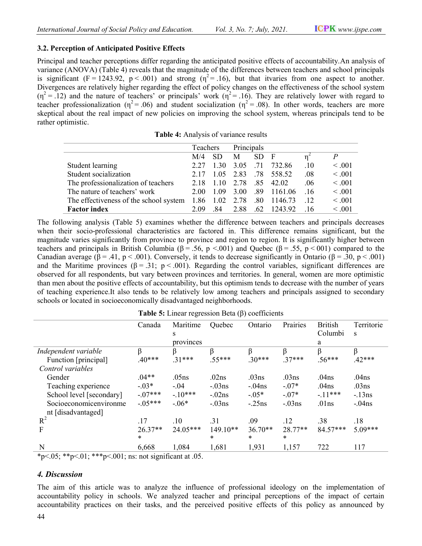### 3.2. Perception of Anticipated Positive Effects

Principal and teacher perceptions differ regarding the anticipated positive effects of accountability. An analysis of variance (ANOVA) (Table 4) reveals that the magnitude of the differences between teachers and school principals Principal and teacher perceptions differ regarding the anticipated positive effects of accountability. An analysis of variance (ANOVA) (Table 4) reveals that the magnitude of the differences between teachers and school pr Divergences are relatively higher regarding the effect of policy changes on the effectiveness of the school system  $(\eta^2 = .12)$  and the nature of teachers' or principals' work  $(\eta^2 = .16)$ . They are relatively lower with regard to teacher professionalization ( $\eta^2 = .06$ ) and student socialization ( $\eta^2 = .08$ ). In other words, teachers are more skeptical about the real impact of new policies on improving the school system, whereas principals tend to be rather optimistic.<br> **Table 4:** Analysis of variance results rather optimistic.

|                                        | Teachers |                | Principals |     |                |     |             |
|----------------------------------------|----------|----------------|------------|-----|----------------|-----|-------------|
|                                        | M/4      | <b>SD</b>      | M          | SD. | $\overline{F}$ | n   | P           |
| Student learning                       | 2.27     | 1.30           | 3.05       | .71 | 732.86         | .10 | $\leq .001$ |
| Student socialization                  | 2.17     | 1.05           | 2.83       |     | .78 558.52     | .08 | < .001      |
| The professionalization of teachers    |          | 2.18 1.10      | 2.78       |     | .85 42.02      | .06 | < 0.001     |
| The nature of teachers' work           | 2.00     | 1.09           | 3.00       |     | .89 1161.06    | .16 | < 0.001     |
| The effectiveness of the school system |          | 1.86 1.02 2.78 |            |     | .80 1146.73    | .12 | < 0.001     |
| <b>Factor index</b>                    | 2.09     | .84            | 2.88       |     | .62 1243.92    | .16 | < 0.001     |

The following analysis (Table 5) examines whether the difference between teachers and principals decreases when their socio-professional characteristics are factored in. This difference remains significant, but the magnitude varies significantly from province to province and region to region. It is significantly higher between The following analysis (Table 5) examines whether the difference between teachers and principals decreases when their socio-professional characteristics are factored in. This difference remains significant, but the magnit Canadian average ( $\beta = .41$ ,  $p < .001$ ). Conversely, it tends to decrease significantly in Ontario ( $\beta = .30$ ,  $p < .001$ ) Canadian average (β = .41, p < .001). Conversely, it tends to decrease significantly in Ontario (β = .30, p < .001) and the Maritime provinces (β = .31; p < .001). Regarding the control variables, significant differences observed for all respondents, but vary between provinces and territories. In general, women are more optimistic than men about the positive effects of accountability, but this optimism tends to decrease with the number of years of teaching experience.It also tends to be relatively low among teachers and principals assigned to secondary schools or located in socioeconomically disadvantaged neighborhoods. rved for all respondents, but vary between provinces and territories. In general, women are more optimistic<br>men about the positive effects of accountability, but this optimism tends to decrease with the number of years<br>a

|                                                                                                          | Canada                  | Maritime                      | Quebec   | Ontario   | Prairies | <b>British</b>    | Territorie        |
|----------------------------------------------------------------------------------------------------------|-------------------------|-------------------------------|----------|-----------|----------|-------------------|-------------------|
|                                                                                                          |                         | S                             |          |           |          | Columbi           | S                 |
|                                                                                                          |                         | provinces                     |          |           |          | a                 |                   |
| Independent variable                                                                                     | β                       | β                             | ß        | β         | ß        | β                 | β                 |
| Function [principal]                                                                                     | $.40***$                | $31***$                       | $.55***$ | $30***$   | $37***$  | $.56***$          | $.42***$          |
| Control variables                                                                                        |                         |                               |          |           |          |                   |                   |
| Gender                                                                                                   | $.04**$                 | .05ns                         | .02ns    | .03ns     | .03ns    | .04ns             | .04 <sub>ns</sub> |
| Teaching experience                                                                                      | $-.03*$                 | $-.04$                        | $-.03ns$ | $-.04ns$  | $-.07*$  | .04 <sub>ns</sub> | .03ns             |
| School level [secondary]                                                                                 | $-.07***$               | $-10***$                      | $-.02ns$ | $-0.05*$  | $-.07*$  | $-.11***$         | $-13ns$           |
| Socioeconomicenvironme                                                                                   | $-.05***$               | $-.06*$                       | $-.03ns$ | $-.25ns$  | $-.03ns$ | .01ns             | $-.04ns$          |
| nt [disadvantaged]                                                                                       |                         |                               |          |           |          |                   |                   |
| $R^2$                                                                                                    | .17                     | .10                           | .31      | .09       | .12      | .38               | .18               |
| F                                                                                                        | $26.37**$               | 24.05***                      | 149.10** | $36.70**$ | 28.77**  | 84.57***          | 5.09***           |
|                                                                                                          | *                       |                               | $\ast$   | *         | $\ast$   |                   |                   |
| N<br>$\sim$ $\sim$ $\sim$<br>alle alle<br>also also also<br>.001<br>$\mathbf{a}$<br>$\sim$ $\sim$ $\sim$ | 6,668<br>$\cdot$ $\sim$ | 1,084<br>$\sim$ $\sim$ $\sim$ | 1,681    | 1,931     | 1,157    | 722               | 117               |

**Table 5:** Linear regression Beta  $(\beta)$  coefficients

 $*p<.05; **p<.01; ***p<.001;$  ns: not significant at .05.

## 4. Discussion

The aim of this article was to analyze the influence of professional ideology on the implementation of accountability policy in schools. We analyzed teacher and principal perceptions of the impact of certain accountability practices on their tasks, and the perceived positive effects of this policy as announced le was to analyze the influence of professional ideology on the implementation of<br>in schools. We analyzed teacher and principal perceptions of the impact of certain<br>is on their tasks, and the perceived positive effects of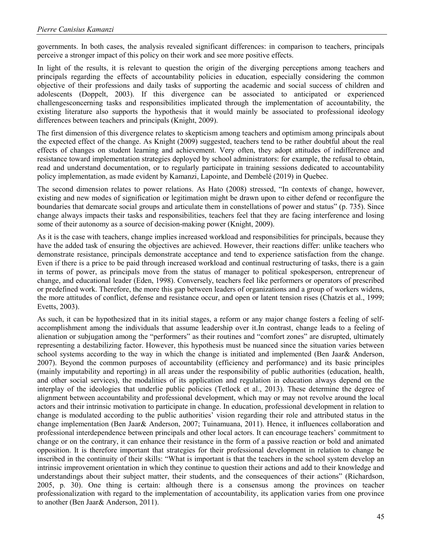governments. In both cases, the analysis revealed significant differences: in comparison to teachers, principals perceive a stronger impact of this policy on their work and see more positive effects.

In light of the results, it is relevant to question the origin of the diverging perceptions among teachers and principals regarding the effects of accountability policies in education, especially considering the common objective of their professions and daily tasks of supporting the academic and social success of children and adolescents (Doppelt, 2003). If this divergence can be associated to anticipated or experienced challengesconcerning tasks and responsibilities implicated through the implementation of accountability, the existing literature also supports the hypothesis that it would mainly be associated to professional ideology differences between teachers and principals (Knight, 2009).

The first dimension of this divergence relates to skepticism among teachers and optimism among principals about the expected effect of the change. As Knight (2009) suggested, teachers tend to be rather doubtful about the real effects of changes on student learning and achievement. Very often, they adopt attitudes of indifference and resistance toward implementation strategies deployed by school administrators: for example, the refusal to obtain, read and understand documentation, or to regularly participate in training sessions dedicated to accountability policy implementation, as made evident by Kamanzi, Lapointe, and Dembelé (2019) in Quebec.

The second dimension relates to power relations. As Hato (2008) stressed, "In contexts of change, however, existing and new modes of signification or legitimation might be drawn upon to either defend or reconfigure the boundaries that demarcate social groups and articulate them in constellations of power and status" (p. 735). Since change always impacts their tasks and responsibilities, teachers feel that they are facing interference and losing some of their autonomy as a source of decision-making power (Knight, 2009).

As it is the case with teachers, change implies increased workload and responsibilities for principals, because they have the added task of ensuring the objectives are achieved. However, their reactions differ: unlike teachers who demonstrate resistance, principals demonstrate acceptance and tend to experience satisfaction from the change. Even if there is a price to be paid through increased workload and continual restructuring of tasks, there is a gain in terms of power, as principals move from the status of manager to political spokesperson, entrepreneur of change, and educational leader (Eden, 1998). Conversely, teachers feel like performers or operators of prescribed or predefined work. Therefore, the more this gap between leaders of organizations and a group of workers widens, the more attitudes of conflict, defense and resistance occur, and open or latent tension rises (Chatzis et al., 1999; Evetts, 2003).

As such, it can be hypothesized that in its initial stages, a reform or any major change fosters a feeling of selfaccomplishment among the individuals that assume leadership over it.In contrast, change leads to a feeling of alienation or subjugation among the "performers" as their routines and "comfort zones" are disrupted, ultimately representing a destabilizing factor. However, this hypothesis must be nuanced since the situation varies between school systems according to the way in which the change is initiated and implemented (Ben Jaar& Anderson, 2007). Beyond the common purposes of accountability (efficiency and performance) and its basic principles (mainly imputability and reporting) in all areas under the responsibility of public authorities (education, health, and other social services), the modalities of its application and regulation in education always depend on the interplay of the ideologies that underlie public policies (Tetlock et al., 2013). These determine the degree of alignment between accountability and professional development, which may or may not revolve around the local actors and their intrinsic motivation to participate in change. In education, professional development in relation to change is modulated according to the public authorities' vision regarding their role and attributed status in the change implementation (Ben Jaar& Anderson, 2007; Tuinamuana, 2011). Hence, it influences collaboration and professional interdependence between principals and other local actors. It can encourage teachers' commitment to change or on the contrary, it can enhance their resistance in the form of a passive reaction or bold and animated opposition. It is therefore important that strategies for their professional development in relation to change be inscribed in the continuity of their skills: "What is important is that the teachers in the school system develop an intrinsic improvement orientation in which they continue to question their actions and add to their knowledge and understandings about their subject matter, their students, and the consequences of their actions" (Richardson, 2005, p. 30). One thing is certain: although there is a consensus among the provinces on teacher professionalization with regard to the implementation of accountability, its application varies from one province to another (Ben Jaar& Anderson, 2011).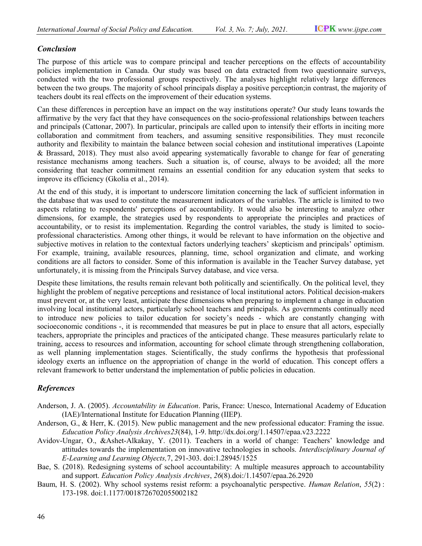## Conclusion

The purpose of this article was to compare principal and teacher perceptions on the effects of accountability policies implementation in Canada. Our study was based on data extracted from two questionnaire surveys, conducted with the two professional groups respectively. The analyses highlight relatively large differences between the two groups. The majority of school principals display a positive perception; in contrast, the majority of teachers doubt its real effects on the improvement of their education systems. between the two groups. The majority of school principals display a positive perception;in contrast, the majority of<br>teachers doubt its real effects on the improvement of their education systems.<br>Can these differences in p ed on data extracted from two questionnaire surveys,<br>ly. The analyses highlight relatively large differences<br>display a positive perception; in contrast, the majority of

Can these differences in perception have an impact on the way institutions operate? Our study leans towards the affirmative by the very fact that they have consequences on the socio-professional relationships between teachers and principals (Cattonar, 2007). In particular, principals are called upon to intensify their efforts in inciting more and principals (Cattonar, 2007). In particular, principals are called upon to intensify their efforts in inciting more collaboration and commitment from teachers, and assuming sensitive responsibilities. They must reconcil authority and flexibility to maintain the balance between social cohesion and institutional imperatives (Lapointe & Brassard, 2018). They must also avoid appearing systematically favorable to change for fear of ge resistance mechanisms among teachers. Such a situation is, of course, always to be avoided; all the more considering that teacher commitment remains an essential condition for any education system that seeks to improve its efficiency (Gkolia et al., 2014). professional relationships between teachers<br>on to intensify their efforts in inciting more<br>tive responsibilities. They must reconcile<br>sion and institutional imperatives (Lapointe<br>favorable to change for fear of generating

At the end of this study, it is important to underscore limitation concerning the lack of sufficient information in the database that was used to constitute the measurement indicators of the variables. The article is limited to two aspects relating to respondents' perceptions of accountability. It would also be interesting to analyze other dimensions, for example, the strategies used by respondents to appropriate the principles and practices of accountability, or to resist its implementation. Regarding the control variables, the study is limited to socioprofessional characteristics. Among other things, it would be relevant to have information on the objective and<br>subjective motives in relation to the contextual factors underlying teachers' skepticism and principals' optim subjective motives in relation to the contextual factors underlying teachers' skepticism and principals' optimism. For example, training, available resources, planning, time, school organization and climate, and working conditions are all factors to consider. Some of this information is available in the Teacher Survey database, yet unfortunately, it is missing from the Principals Survey database, and vice versa. authority and flexibility to maintain the balance between social cohesion and institutional imperatives (Lapointe & Brassard, 2018). They must also avoid appearing systematically favorable to change for fear of generating subjective motives in relation to the contextual factors underlying teachers' skepticism and principals' optimism.<br>For example, training, available resources, planning, time, school organization and climate, and working<br>co

Despite these limitations, the results remain relevant both politically and scientifically. On the political level, they highlight the problem of negative perceptions and resistance of local institutional actors. Political decision-makers must prevent or, at the very least, anticipate these dimensions when preparing to implement a change in education must prevent or, at the very least, anticipate these dimensions when preparing to implement a change in education<br>involving local institutional actors, particularly school teachers and principals. As governments continuall to introduce new policies to tailor education for society's needs - which are constantly changing with socioeconomic conditions -, it is recommended that measures be put in place to ensure that all actors, especially teachers, appropriate the principles and practices of the anticipated change. These measures particularly relate to training, access to resources and information, accounting for school climate through strengthening collaboration, socioeconomic conditions -, it is recommended that measures be put in place to ensure that all actors, especially<br>teachers, appropriate the principles and practices of the anticipated change. These measures particularly re ideology exerts an influence on the appropriation of change in the world of education. This concept offers a ideology exerts an influence on the appropriation of change in the world of education.<br>relevant framework to better understand the implementation of public policies in education. *f*Social Policy and Education. Fol. 3, No. 7, July 2021. ICPNs www.itype.com<br>article was to compare principal and teacher perceptions on the effects of accountability<br>on in Canada. Our study was based on dua setmated fro actors, particularly school teachers and principals. As governments continually<br>to tailor education for society's needs - which are constantly changing<br>it is recommended that measures be put in place to ensure that all act

### References

- Anderson, J. A. (2005). Accountability in Education. Paris, France: Unesco, International Academy of Education (IAE)/International Institute for Education Planning (IIEP).
- Anderson, G., & Herr, K. (2015). New public management and the new professional educator: Framing the issue.<br> *Education Policy Analysis Archives23*(84), 1-9. http://dx.doi.org/1.14507/epaa.v23.2222 Education Policy Analysis Archives23(84), 1-9. http://dx.doi.org/1.14507/epaa.v23.2222
- Avidov-Ungar, O., & Ashet-Alkakay, Y. (2011). Teachers in a world of change: Teachers' knowledge and attitudes towards the implementation on innovative technologies in schools. Interdisciplinary Journal of E-Learning and Learning Objects, 7, 291-303. doi:1.28945/1525
- Bae, S. (2018). Redesigning systems of school accountability: A multiple measures approach to accountability and support. *Education Policy Analysis Archives*, 26(8).doi:/1.14507/epaa.26.2920 and support. Education Policy Analysis Archives, 26(8).doi:/1.14507/epaa.26.2920
- Baum, H. S. (2002). Why school systems resist reform: a psychoanalytic perspective. Human Relation, 55(2): 173-198. doi:1.1177/0018726702055002182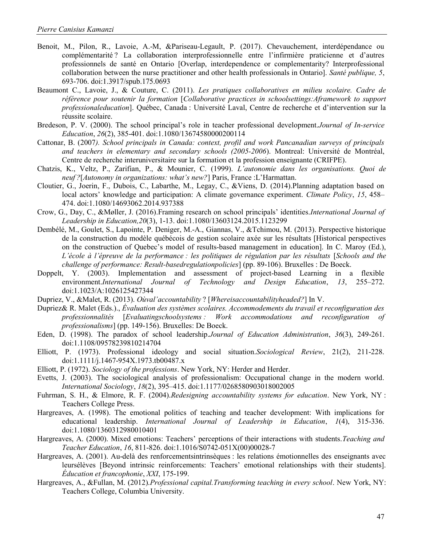- Benoit, M., Pilon, R., Lavoie, A.-M, &Pariseau-Legault, P. (2017). Chevauchement, interdépendance ou complémentarité ? La collaboration interprofessionnelle entre l'infirmière praticienne et d'autres professionnels de santé en Ontario [Overlap, interdependence or complementarity? Interprofessional collaboration between the nurse practitioner and other health professionals in Ontario]. Santé publique, 5, 693-706. doi:1.3917/spub.175.0693
- Beaumont C., Lavoie, J., & Couture, C. (2011). Les pratiques collaboratives en milieu scolaire. Cadre de référence pour soutenir la formation [Collaborative practices in schoolsettings:Aframework to support professionaleducation]. Québec, Canada : Université Laval, Centre de recherche et d'intervention sur la réussite scolaire.
- Bredeson, P. V. (2000). The school principal's role in teacher professional development.Journal of In-service Education, 26(2), 385-401. doi:1.1080/13674580000200114
- Cattonar, B. (2007). School principals in Canada: context, profil and work Pancanadian surveys of principals and teachers in elementary and secondary schools (2005-2006). Montreal: Université de Montréal, Centre de recherche interuniversitaire sur la formation et la profession enseignante (CRIFPE).
- Chatzis, K., Veltz, P., Zarifian, P., & Mounier, C. (1999). L'autonomie dans les organisations. Quoi de neuf ?[Autonomy in organizations: what's new?] Paris, France :L'Harmattan.
- Cloutier, G., Joerin, F., Dubois, C., Labarthe, M., Legay, C., &Viens, D. (2014).Planning adaptation based on local actors' knowledge and participation: A climate governance experiment. Climate Policy, 15, 458– 474. doi:1.1080/14693062.2014.937388
- Crow, G., Day, C., &Møller, J. (2016).Framing research on school principals' identities.International Journal of Leadership in Education,20(3), 1-13. doi:1.1080/13603124.2015.1123299
- Dembélé, M., Goulet, S., Lapointe, P. Deniger, M.-A., Giannas, V., &Tchimou, M. (2013). Perspective historique de la construction du modèle québécois de gestion scolaire axée sur les résultats [Historical perspectives on the construction of Quebec's model of results-based management in education]. In C. Maroy (Ed.), L'école à l'épreuve de la performance : les politiques de régulation par les résultats [Schools and the challenge of performance: Result-basedregulationpolicies] (pp. 89-106). Bruxelles : De Boeck.
- Doppelt, Y. (2003). Implementation and assessment of project-based Learning in a flexible environment.International Journal of Technology and Design Education, 13, 255–272. doi:1.1023/A:1026125427344
- Dupriez, V., &Malet, R. (2013). Oùval'accountability ? [Whereisaccountabilityheaded?] In V.
- Dupriez& R. Malet (Eds.)., Évaluation des systèmes scolaires. Accommodements du travail et reconfiguration des professionnalités [Evaluatingschoolsystems : Work accommodations and reconfiguration of professionalisms] (pp. 149-156). Bruxelles: De Boeck.
- Eden, D. (1998). The paradox of school leadership.Journal of Education Administration, 36(3), 249-261. doi:1.1108/09578239810214704
- Elliott, P. (1973). Professional ideology and social situation.Sociological Review, 21(2), 211-228. doi:1.1111/j.1467-954X.1973.tb00487.x
- Elliott, P. (1972). Sociology of the professions. New York, NY: Herder and Herder.
- Evetts, J. (2003). The sociological analysis of professionalism: Occupational change in the modern world. International Sociology, 18(2), 395–415. doi:1.1177/0268580903018002005
- Fuhrman, S. H., & Elmore, R. F. (2004). Redesigning accountability systems for education. New York, NY: Teachers College Press.
- Hargreaves, A. (1998). The emotional politics of teaching and teacher development: With implications for educational leadership. *International Journal of Leadership in Education*, 1(4), 315-336. doi:1.1080/1360312980010401
- Hargreaves, A. (2000). Mixed emotions: Teachers' perceptions of their interactions with students. Teaching and Teacher Education, 16, 811-826. doi:1.1016/S0742-051X(00)00028-7
- Hargreaves, A. (2001). Au-delà des renforcementsintrinsèques : les relations émotionnelles des enseignants avec leursélèves [Beyond intrinsic reinforcements: Teachers' emotional relationships with their students]. Éducation et francophonie, XXI, 175-199.
- Hargreaves, A., &Fullan, M. (2012).*Professional capital.Transforming teaching in every school*. New York, NY: Teachers College, Columbia University.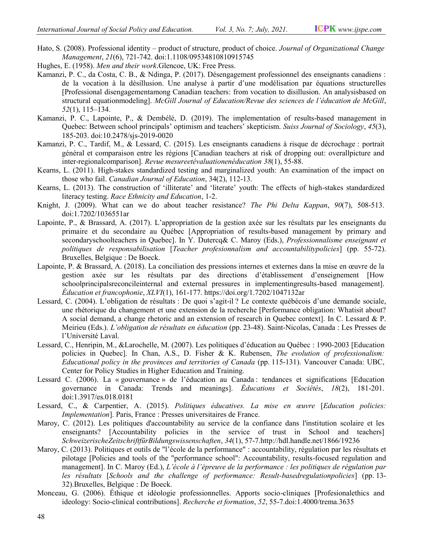- Hato, S. (2008). Professional identity product of structure, product of choice. Journal of Organizational Change Management, 21(6), 721-742. doi: 742. doi:1.1108/09534810810915745
- Hughes, E. (1958). Men and their work. Glencoe, UK: Free Press.
- Kamanzi, P. C., da Costa, C. B., & Ndinga, P. (2017). Désengagement professionnel des enseignants canadiens : de la vocation à la désillusion. Une analyse à partir d'une modélisation par équations structurelles i, P. C., da Costa, C. B., & Ndinga, P. (2017). Désengagement professionnel des enseignants canadiens :<br>de la vocation à la désillusion. Une analyse à partir d'une modélisation par équations structurelles<br>[Professional dis [Professional disengagementamong Canadian teachers: from vocation to disillusion. An analysisbased on<br>structural equationmodeling]. McGill Journal of Education/Revue des sciences de l'éducation de McGill, 52(1), 115–134.
- Kamanzi, P. C., Lapointe, P., & Dembélé, D. (2019). The implementation of results-based management in Quebec: Between school principals' optimism and teachers' skepticism. Suiss Journal of Sociology, 45(3), 185-203. doi:10.2478/sjs-2019-0020
- Kamanzi, P. C., Tardif, M., & Lessard, C. (2015). Les enseignants canadiens à risque de décrochage : portrait général et comparaison entre les régions [Canadian teachers at risk of dropping out: overallpicture and inter-regionalcomparison]. Revue mesureetévaluationenéducation 38(1), 55-88.
- Kearns, L. (2011). High-stakes standardized testing and marginalized youth: An examination of the impact on those who fail. Canadian Journal of Education, 34(2), 112-13.
- Kearns, L. (2013). The construction of 'illiterate' and 'literate' youth: The effects of high-stakes standardized literacy testing. Race Ethnicity and Education, 1-2.
- Knight, J. (2009). What can we do about teacher resistance? The Phi Delta Kappan, 90(7), 508-513. doi:1.7202/1036551ar
- Lapointe, P., & Brassard, A. (2017). L'appropriation de la gestion axée sur les résultats par les enseignants du e, P., & Brassard, A. (2017). L'appropriation de la gestion axée sur les résultats par les enseignants du<br>primaire et du secondaire au Québec [Appropriation of results-based management by primary and secondaryschoolteachers in Quebec]. In Y. Dutercq& C. Maroy (Eds.), Professionnalisme enseignant et secondaryschoolteachers in Quebec]. In Y. Dutercq& C. Maroy (Eds.), *Professionnalisme enseignant et* politiques de responsabilisation [Teacher profesionnalism and accountabilitypolicies] (pp. 55-72). Bruxelles, Belgique : De Boeck.
- Lapointe, P. & Brassard, A. (2018). La conciliation des pressions internes et externes dans la mise en œuvre de la gestion axée sur les résultats par des directions d'établissement d'enseignement [How schoolprincipalsreconcileinternal and external pressures in implementingresults  $\emph{Éducation et francophonie, XLVI(1), 161-177. https://doi.org/1.7202/1047132ar}$ tats par des directions d'établissement d'enseignement [How and external pressures in implementing results-based management].<br>(1), 161-177. https://doi.org/1.7202/1047132ar implementingresults-based management].
- Lessard, C. (2004). L'obligation de résultats : De quoi s'agit-il ? Le contexte québécois d'une demande sociale, une rhétorique du changement et une extension de la recherche [Performance obligation: Whatisit about? A social demande sociale, the résultats : De quoi s'agit-il ? Le contexte québécois d'une demande sociale, une rhétorique du changement et une extension de la recherche [Performance obligation: Whatisit about? A social dem Meirieu (Eds.). L'obligation de résultats en éducation (pp. 23-48). Saint-Nicolas, Canada : Les Presses de l'Université Laval.
- Lessard, C., Henripin, M., &Larochelle, M. (2007). Les politiques d'éducation au Québec : 1990-2003 [Education policies in Quebec]. In Chan, A.S., D. Fisher & K. Rubensen, *The evolution of professionalism*: Educational policy in the provinces and territories of Canada (pp. 115-131). Vancouver Canada: UBC, Center for Policy Studies in Higher Education and Training. Educational policy in the provinces and territories of Canada (pp. 115-131). Vancouver Canada: UBC,<br>Center for Policy Studies in Higher Education and Training.<br>Lessard C. (2006). La « gouvernance » de l'éducation au Canada
- governance in Canada: Trends and meanings]. *Éducations et Sociétés*, 18(2), 181-201. doi:1.3917/es.018.0181
- Lessard, C., & Carpentier, A. (2015). Politiques éducatives. La mise en œuvre [Education policies: Implementation]. Paris, France : Presses universitaires de France.
- Maroy, C. (2012). Les politiques d'accountability au service de la confiance dans l'insti enseignants? [Accountability policies in the service of trust in School and teachers] SchweizerischeZeitschriftfürBildungswissenschaften , 34(1), 57-7.http://hdl.handle.net/1866/19236 nce : Presses universitaires de France.<br>d'accountability au service de la confiance dans l'institution scolaire et les<br>lity policies in the service of trust in School and teachers] l'institution scolaire et les
- Maroy, C. (2013). Politiques et outils de "l'école de la performance" : accountability, régulation par les résultats et SchweizerischeZeitschriftfürBildungswissenschaften, 34(1), 57-7.http://hdl.handle.net/1866/19236<br>C. (2013). Politiques et outils de "l'école de la performance" : accountability, régulation par les résultats et<br>pilotage [Po management]. In C. Maroy (Ed.), *L'école à l'épreuve de la performance : les politiques de régulation par* management]. In C. Maroy (Ed.), *L'école à l'épreuve de la performance : les politiques de régulation par*<br>les résultats [Schools and the challenge of performance: Result-basedregulationpolicies] (pp. 13-32).Bruxelles, Belgique : De Boeck.
- 32).Bruxelles, Belgique : De Boeck.<br>Monceau, G. (2006). Éthique et idéologie professionnelles. Apports socio-cliniques [Profesionalethics and u, G. (2006). Éthique et idéologie professionnelles. Apports socio-cliniques [Profesionale ideology: Socio-clinical contributions]. *Recherche et formation*, 52, 55-7.doi:1.4000/trema.3635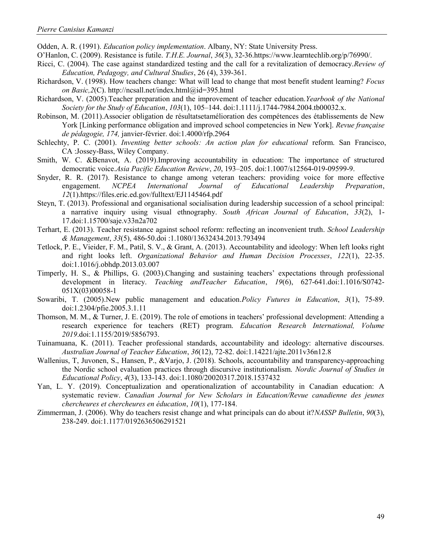Odden, A. R. (1991). Education policy implementation. Albany, NY: State University Press.

- O'Hanlon, C. (2009). Resistance is futile. T.H.E. Journal, 36(3), 32-36.https://www.learntechlib.org/p/76990/.
- Ricci, C. (2004). The case against standardized testing and the call for a revitalization of democracy. Review of Education, Pedagogy, and Cultural Studies, 26 (4), 339-361.
- Richardson, V. (1998). How teachers change: What will lead to change that most benefit student learning? Focus on Basic,2(C). http://ncsall.net/index.html@id=395.html
- Richardson, V. (2005). Teacher preparation and the improvement of teacher education. Yearbook of the National Society for the Study of Education, 103(1), 105–144. doi:1.1111/j.1744-7984.2004.tb00032.x.
- Robinson, M. (2011).Associer obligation de résultatsetamélioration des compétences des établissements de New York [Linking performance obligation and improved school competencies in New York]. Revue française de pédagogie, 174, janvier-février. doi:1.4000/rfp.2964
- Schlechty, P. C. (2001). Inventing better schools: An action plan for educational reform. San Francisco, CA :Jossey-Bass, Wiley Company.
- Smith, W. C. &Benavot, A. (2019).Improving accountability in education: The importance of structured democratic voice.Asia Pacific Education Review, 20, 193–205. doi:1.1007/s12564-019-09599-9.
- Snyder, R. R. (2017). Resistance to change among veteran teachers: providing voice for more effective engagement. NCPEA International Journal of Educational Leadership Preparation, 12(1).https://files.eric.ed.gov/fulltext/EJ1145464.pdf
- Steyn, T. (2013). Professional and organisational socialisation during leadership succession of a school principal: a narrative inquiry using visual ethnography. South African Journal of Education, 33(2), 1-17.doi:1.15700/saje.v33n2a702
- Terhart, E. (2013). Teacher resistance against school reform: reflecting an inconvenient truth. School Leadership & Management, 33(5), 486-50.doi :1.1080/13632434.2013.793494
- Tetlock, P. E., Vieider, F. M., Patil, S. V., & Grant, A. (2013). Accountability and ideology: When left looks right and right looks left. Organizational Behavior and Human Decision Processes, 122(1), 22-35. doi:1.1016/j.obhdp.2013.03.007
- Timperly, H. S., & Phillips, G. (2003).Changing and sustaining teachers' expectations through professional development in literacy. Teaching and Teacher Education, 19(6), 627-641.doi:1.1016/S0742-051X(03)00058-1
- Sowaribi, T. (2005).New public management and education. Policy Futures in Education, 3(1), 75-89. doi:1.2304/pfie.2005.3.1.11
- Thomson, M. M., & Turner, J. E. (2019). The role of emotions in teachers' professional development: Attending a research experience for teachers (RET) program. Education Research International, Volume 2019.doi:1.1155/2019/5856793.
- Tuinamuana, K. (2011). Teacher professional standards, accountability and ideology: alternative discourses. Australian Journal of Teacher Education, 36(12), 72-82. doi:1.14221/ajte.2011v36n12.8
- Wallenius, T, Juvonen, S., Hansen, P., &Varjo, J. (2018). Schools, accountability and transparency-approaching the Nordic school evaluation practices through discursive institutionalism. Nordic Journal of Studies in Educational Policy, 4(3), 133-143. doi:1.1080/20020317.2018.1537432
- Yan, L. Y. (2019). Conceptualization and operationalization of accountability in Canadian education: A systematic review. Canadian Journal for New Scholars in Education/Revue canadienne des jeunes chercheures et chercheures en éducation, 10(1), 177-184.
- Zimmerman, J. (2006). Why do teachers resist change and what principals can do about it?NASSP Bulletin, 90(3), 238-249. doi:1.1177/0192636506291521